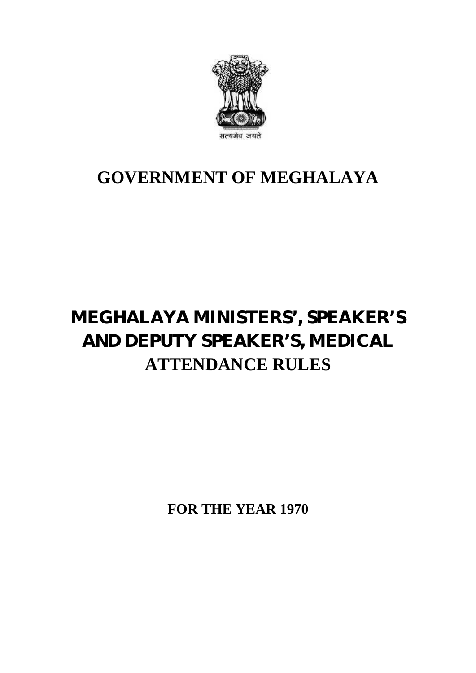

## **GOVERNMENT OF MEGHALAYA**

# **MEGHALAYA MINISTERS', SPEAKER'S AND DEPUTY SPEAKER'S, MEDICAL ATTENDANCE RULES**

**FOR THE YEAR 1970**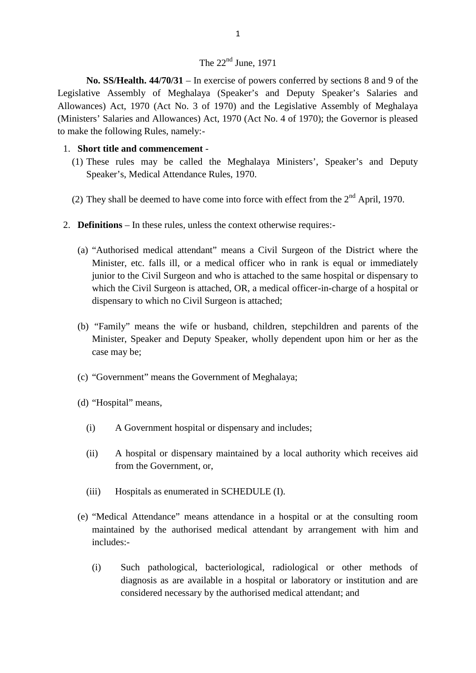## The  $22<sup>nd</sup>$  June, 1971

**No. SS/Health. 44/70/31** – In exercise of powers conferred by sections 8 and 9 of the Legislative Assembly of Meghalaya (Speaker's and Deputy Speaker's Salaries and Allowances) Act, 1970 (Act No. 3 of 1970) and the Legislative Assembly of Meghalaya (Ministers' Salaries and Allowances) Act, 1970 (Act No. 4 of 1970); the Governor is pleased to make the following Rules, namely:-

### 1. **Short title and commencement** -

- (1) These rules may be called the Meghalaya Ministers', Speaker's and Deputy Speaker's, Medical Attendance Rules, 1970. (1) These rules may be called the Meghalaya Ministers', Speaker's and Deputy Speaker's, Medical Attendance Rules, 1970.<br>(2) They shall be deemed to have come into force with effect from the  $2<sup>nd</sup>$  April, 1970.
- 
- 2. **Definitions** In these rules, unless the context otherwise requires:-
	- (a) "Authorised medical attendant" means a Civil Surgeon of the District where the Minister, etc. falls ill, or a medical officer who in rank is equal or immediately junior to the Civil Surgeon and who is attached to the same hospital or dispensary to which the Civil Surgeon is attached, OR, a medical officer-in-charge of a hospital or dispensary to which no Civil Surgeon is attached;
	- (b) "Family" means the wife or husband, children, stepchildren and parents of the Minister, Speaker and Deputy Speaker, wholly dependent upon him or her as the case may be;
	- (c) "Government" means the Government of Meghalaya;
	- (d) "Hospital" means,
- (i) "Government" means the Government of Meghalaya;<br>
(i) A Government hospital or dispensary and includes;
- (i) A Government hospital or dispensary and includes;<br>
(ii) A hospital or dispensary maintained by a local authority which receives aid<br>
from the Government, or, from the Government, or, (ii) A hospital or dispensary maintained by a local<br>from the Government, or,<br>(iii) Hospitals as enumerated in SCHEDULE (I).
	-
	- (e) "Medical Attendance" means attendance in a hospital or at the consulting room ii) Hospitals as enumerated in SCHEDULE (I).<br>
	"Medical Attendance" means attendance in a hospital or at the consulting room<br>
	maintained by the authorised medical attendant by arrangement with him and<br>
	includes:includes:- (i) Such pathological, bacteriological, radiological or other methods of<br>diagnosis as are available in a hospital or laboratory or institution and are<br>diagnosis as are available in a hospital or laboratory or institution a
		- diagnosis as are available in a hospital or laboratory or institution and are considered necessary by the authorised medical attendant; and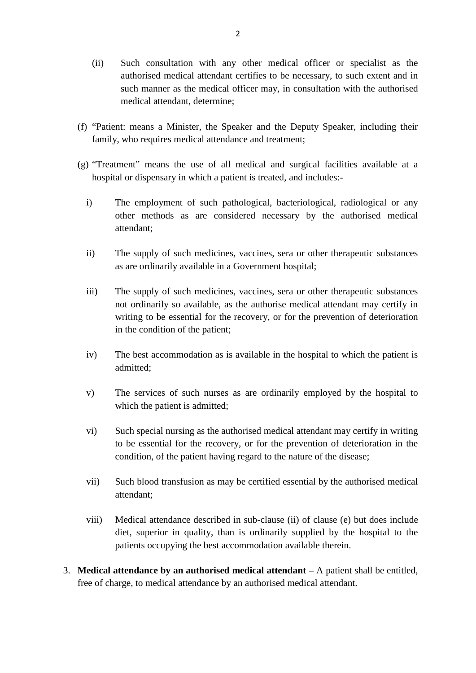- 2<br>
(ii) Such consultation with any other medical officer or specialist as the<br>
authorised medical attendant certifies to be necessary, to such extent and in authorised medical attendant certifies to be necessary, to such extent and in such manner as the medical officer may, in consultation with the authorised medical attendant, determine;
- (f) "Patient: means a Minister, the Speaker and the Deputy Speaker, including their family, who requires medical attendance and treatment; "Patient: means a Minister, the Speaker and the Deputy Speaker, in family, who requires medical attendance and treatment;<br>"Treatment" means the use of all medical and surgical facilities a hospital or dispensary in which a
- (g) "Treatment" means the use of all medical and surgical facilities available at a
- independent of such pathological and surgical facilities available at a hospital or dispensary in which a patient is treated, and includes:<br>i) The employment of such pathological, bacteriological, radiological or any other other methods as are considered necessary by the authorised medical attendant; iii) The employment of such pathological, bacteriological, radiological or any other methods as are considered necessary by the authorised medical attendant;<br>ii) The supply of such medicines, vaccines, sera or other therap
	- as are ordinarily available in a Government hospital; The supply of such medicines, vaccines, sera or other therapeutic substances<br>as are ordinarily available in a Government hospital;<br>The supply of such medicines, vaccines, sera or other therapeutic substances<br>not ordinarily
	- ii) The supply of such medicines, vaccines, sera or other therapeutic substances<br>as are ordinarily available in a Government hospital;<br>iii) The supply of such medicines, vaccines, sera or other therapeutic substances<br>not o writing to be essential for the recovery, or for the prevention of deterioration in the condition of the patient; independent act accommodation as the authorise medical attendant may certify in<br>writing to be essential for the recovery, or for the prevention of deterioration<br>in the condition of the patient;<br>iv) The best accommodation a
	- admitted; v) The best accommodation as is available in the hospital to which the patient is admitted;<br>v) The services of such nurses as are ordinarily employed by the hospital to which the patient is admitted;
	- which the patient is admitted;
	- vice via the services of such nurses as are ordinarily employed by the hospital to<br>which the patient is admitted;<br>vice Such special nursing as the authorised medical attendant may certify in writing<br>to be essential for the to be essential for the recovery, or for the prevention of deterioration in the condition, of the patient having regard to the nature of the disease; viated via the special nursing as the authorised medical attendant may certify in writing<br>to be essential for the recovery, or for the prevention of deterioration in the<br>condition, of the patient having regard to the natur
	- attendant;
	- vii) Such blood transfusion as may be certified essential by the authorised medical attendant;<br>
	wiii) Medical attendance described in sub-clause (ii) of clause (e) but does include<br>
	diet, superior in quality, than is ordin diet, superior in quality, than is ordinarily supplied by the hospital to the patients occupying the best accommodation available therein.
- 3. **Medical attendance by an authorised medical attendant** A patient shall be entitled, free of charge, to medical attendance by an authorised medical attendant.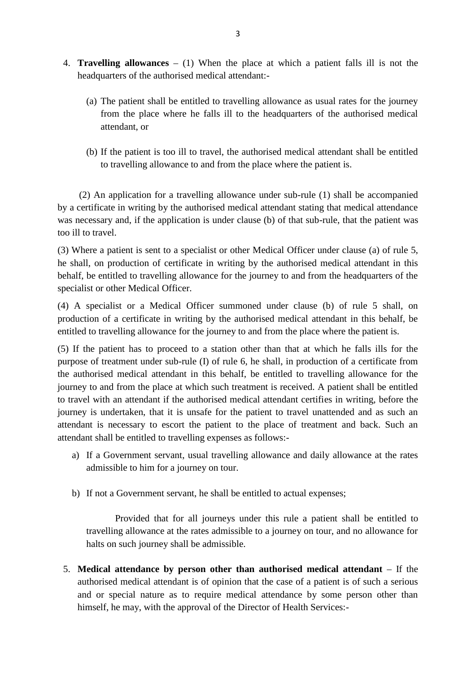- 4. **Travelling allowances** (1) When the place at which a patient falls ill is not the headquarters of the authorised medical attendant:-
- (a) The patient shall be entitled to travelling allowance as usual rates for the journey<br>
(a) The patient shall be entitled to travelling allowance as usual rates for the journey<br>
from the place where he falls ill to the from the place where he falls ill to the headquarters of the authorised medical attendant, or (a) The patient shall be entitled to travelling allowance as usual rates for the journey<br>from the place where he falls ill to the headquarters of the authorised medical<br>attendant, or<br>(b) If the patient is too ill to travel
	- to travelling allowance to and from the place where the patient is.

(2) An application for a travelling allowance under sub-rule (1) shall be accompanied by a certificate in writing by the authorised medical attendant stating that medical attendance was necessary and, if the application is under clause (b) of that sub-rule, that the patient was too ill to travel.

(3) Where a patient is sent to a specialist or other Medical Officer under clause (a) of rule 5, he shall, on production of certificate in writing by the authorised medical attendant in this behalf, be entitled to travelling allowance for the journey to and from the headquarters of the specialist or other Medical Officer. (3) Where a patient is sent to a specialist or other Medical Officer under clause (a) of rule 5,<br>he shall, on production of certificate in writing by the authorised medical attendant in this<br>behalf, be entitled to travell

production of a certificate in writing by the authorised medical attendant in this behalf, be entitled to travelling allowance for the journey to and from the place where the patient is.

(5) If the patient has to proceed to a station other than that at which he falls ills for the purpose of treatment under sub-rule (I) of rule 6, he shall, in production of a certificate from the authorised medical attendan purpose of treatment under sub-rule (I) of rule 6, he shall, in production of a certificate from the authorised medical attendant in this behalf, be entitled to travelling allowance for the journey to and from the place at which such treatment is received. A patient shall be entitled journey is undertaken, that it is unsafe for the patient to travel unattended and as such an attendant is necessary to escort the patient to the place of treatment and back. Such an attendant shall be entitled to travelling expenses as follows: ravel with an attendant if the authorised medical attendant certifies in writing, before the<br>mey is undertaken, that it is unsafe for the patient to travel unattended and as such an<br>ndant is necessary to escort the patient

- admissible to him for a journey on tour. ndant shall be entitled to travelling expenses as follows:-<br>a) If a Government servant, usual travelling allowance and daily allowand<br>admissible to him for a journey on tour.<br>b) If not a Government servant, he shall be ent
- 

Examples to him for a journey on tour.<br>
If not a Government servant, he shall be entitled to actual expenses;<br>
Provided that for all journeys under this rule a patient shall be entitled to<br>
travelling allowance at the rate halts on such journey shall be admissible.

5. **Medical attendance by person other than authorised medical attendant** – If the authorised medical attendant is of opinion that the case of a patient is of such a serious and or special nature as to require medical attendance by some person other than himself, he may, with the approval of the Director of Health Services:-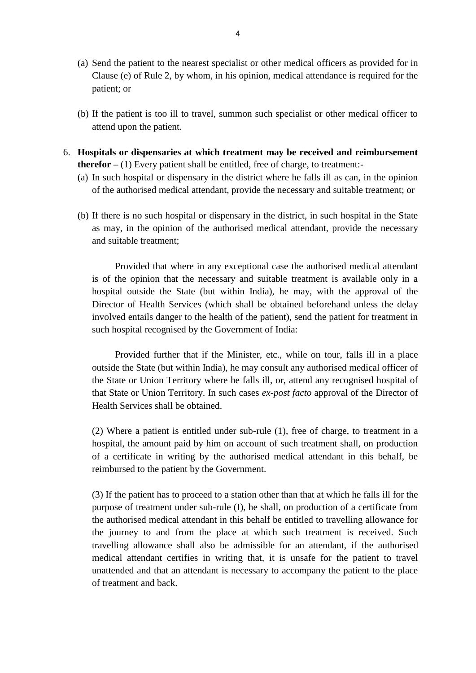- 4<br>
(a) Send the patient to the nearest specialist or other medical officers as provided for in<br>
Clause (e) of Rule 2, by whom, in his opinion, medical attendance is required for the 4<br>Send the patient to the nearest specialist or other medical officers as provided for in<br>Clause (e) of Rule 2, by whom, in his opinion, medical attendance is required for the<br>patient; or patient; or (a) Send the patient to the nearest specialist or other medical officers as provided for in Clause (e) of Rule 2, by whom, in his opinion, medical attendance is required for the patient; or<br>(b) If the patient is too ill to
- attend upon the patient.
- 6. **Hospitals or dispensaries at which treatment may be received and reimbursement therefor**  $- (1)$  Every patient shall be entitled, free of charge, to treatment:-
- (a) In such hospitals or dispensaries at which treatment may be received and reimbursement<br>therefor  $(1)$  Every patient shall be entitled, free of charge, to treatment:<br>(a) In such hospital or dispensary in the district of the authorised medical attendant, provide the necessary and suitable treatment; or
	- **therefor**  $(1)$  Every patient shall be entitled, free of charge, to treatment:-<br>
	(a) In such hospital or dispensary in the district where he falls ill as can, in the opinion<br>
	of the authorised medical attendant, provide as may, in the opinion of the authorised medical attendant, provide the necessary of the authorised medical at<br>If there is no such hospital<br>as may, in the opinion of<br>and suitable treatment; (b) If there is no such hospital or dispensary in the district, in such hospital in the State<br>as may, in the opinion of the authorised medical attendant, provide the necessary<br>and suitable treatment;<br>Provided that where in

is of the opinion that the necessary and suitable treatment is available only in a hospital outside the State (but within India), he may, with the approval of the Provided that where in any exceptional case the authorised medical attendant<br>is of the opinion that the necessary and suitable treatment is available only in a<br>hospital outside the State (but within India), he may, with th involved entails danger to the health of the patient), send the patient for treatment in such hospital recognised by the Government of India:

Provided further that if the Minister, etc., while on tour, falls ill in a place outside the State (but within India), he may consult any authorised medical officer of the State or Union Territory where he falls ill, or, attend any recognised hospital of that State or Union Territory. In such cases *ex-post facto* approval of the Director of Health Services shall be obtained.

(2) Where a patient is entitled under sub-rule (1), free of charge, to treatment in a hospital, the amount paid by him on account of such treatment shall, on production of a certificate in writing by the authorised medical attendant in this behalf, be reimbursed to the patient by the Government.

(3) If the patient has to proceed to a station other than that at which he falls ill for the purpose of treatment under sub-rule (I), he shall, on production of a certificate from the authorised medical attendant in this behalf be entitled to travelling allowance for the journey to and from the place at which such treatment is received. Such travelling allowance shall also be admissible for an attendant, if the authorised purpose of treatment under sub-rule (I), he shall, on production of a certificate from<br>the authorised medical attendant in this behalf be entitled to travelling allowance for<br>the journey to and from the place at which such unattended and that an attendant is necessary to accompany the patient to the place of treatment and back.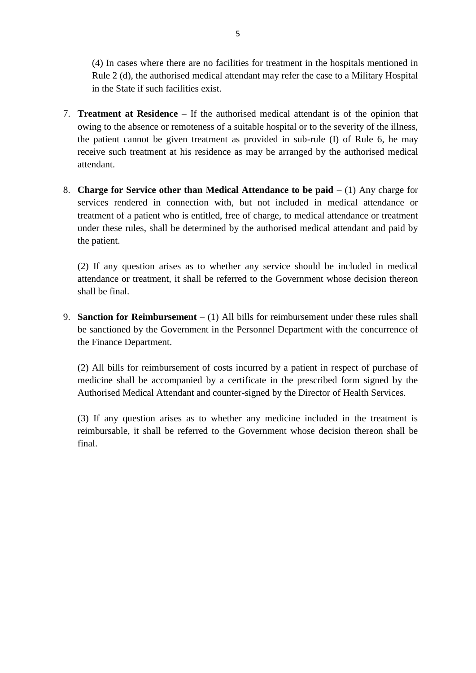(4) In cases where there are no facilities for treatment in the hospitals mentioned in Rule 2 (d), the authorised medical attendant may refer the case to a Military Hospital in the State if such facilities exist.

- 7. **Treatment at Residence** If the authorised medical attendant is of the opinion that owing to the absence or remoteness of a suitable hospital or to the severity of the illness, the patient cannot be given treatment as provided in sub-rule (I) of Rule 6, he may receive such treatment at his residence as may be arranged by the authorised medical attendant.
- 8. **Charge for Service other than Medical Attendance to be paid** (1) Any charge for services rendered in connection with, but not included in medical attendance or treatment of a patient who is entitled, free of charge, to medical attendance or treatment under these rules, shall be determined by the authorised medical attendant and paid by the patient.

(2) If any question arises as to whether any service should be included in medical attendance or treatment, it shall be referred to the Government whose decision thereon shall be final.

9. **Sanction for Reimbursement** – (1) All bills for reimbursement under these rules shall be sanctioned by the Government in the Personnel Department with the concurrence of Shall be final.<br>**Sanction for Reimburseme**<br>be sanctioned by the Govern<br>the Finance Department.

(2) All bills for reimbursement of costs incurred by a patient in respect of purchase of medicine shall be accompanied by a certificate in the prescribed form signed by the Authorised Medical Attendant and counter-signed by the Director of Health Services.

(3) If any question arises as to whether any medicine included in the treatment is reimbursable, it shall be referred to the Government whose decision thereon shall be final.